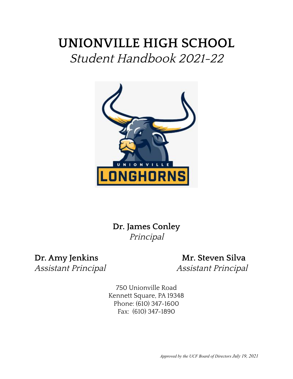# **UNIONVILLE HIGH SCHOOL** Student Handbook 2021-22



**Dr. James Conley** Principal

**Dr. Amy Jenkins Mr. Steven Silva** Assistant Principal Assistant Principal

> 750 Unionville Road Kennett Square, PA 19348 Phone: (610) 347-1600 Fax: (610) 347-1890

> > *Approved by the UCF Board of Directors July 19, 2021*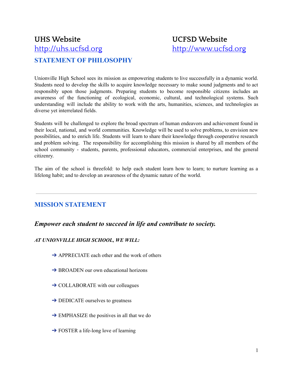# **UHS Website UCFSD Website** <http://uhs.ucfsd.org> <http://www.ucfsd.org> **STATEMENT OF PHILOSOPHY**

Unionville High School sees its mission as empowering students to live successfully in a dynamic world. Students need to develop the skills to acquire knowledge necessary to make sound judgments and to act responsibly upon those judgments. Preparing students to become responsible citizens includes an awareness of the functioning of ecological, economic, cultural, and technological systems. Such understanding will include the ability to work with the arts, humanities, sciences, and technologies as diverse yet interrelated fields.

Students will be challenged to explore the broad spectrum of human endeavors and achievement found in their local, national, and world communities. Knowledge will be used to solve problems, to envision new possibilities, and to enrich life. Students will learn to share their knowledge through cooperative research and problem solving. The responsibility for accomplishing this mission is shared by all members of the school community - students, parents, professional educators, commercial enterprises, and the general citizenry.

The aim of the school is threefold: to help each student learn how to learn; to nurture learning as a lifelong habit; and to develop an awareness of the dynamic nature of the world.

# **MISSION STATEMENT**

## *Empower each student to succeed in life and contribute to society.*

#### *AT UNIONVILLE HIGH SCHOOL, WE WILL:*

- $\rightarrow$  APPRECIATE each other and the work of others
- **→ BROADEN** our own educational horizons
- $\rightarrow$  COLLABORATE with our colleagues
- $\rightarrow$  DEDICATE ourselves to greatness
- $\rightarrow$  EMPHASIZE the positives in all that we do
- $\rightarrow$  FOSTER a life-long love of learning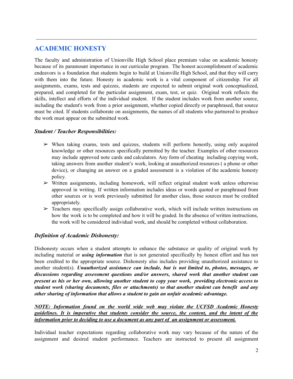# **ACADEMIC HONESTY**

The faculty and administration of Unionville High School place premium value on academic honesty because of its paramount importance in our curricular program. The honest accomplishment of academic endeavors is a foundation that students begin to build at Unionville High School, and that they will carry with them into the future. Honesty in academic work is a vital component of citizenship. For all assignments, exams, tests and quizzes, students are expected to submit original work conceptualized, prepared, and completed for the particular assignment, exam, test, or quiz. Original work reflects the skills, intellect and efforts of the individual student. If the student includes work from another source, including the student's work from a prior assignment, whether copied directly or paraphrased, that source must be cited. If students collaborate on assignments, the names of all students who partnered to produce the work must appear on the submitted work.

#### *Student / Teacher Responsibilities:*

- ➢ When taking exams, tests and quizzes, students will perform honestly, using only acquired knowledge or other resources specifically permitted by the teacher. Examples of other resources may include approved note cards and calculators. Any form of cheating including copying work, taking answers from another student's work, looking at unauthorized resources ( a phone or other device), or changing an answer on a graded assessment is a violation of the academic honesty policy.
- $\triangleright$  Written assignments, including homework, will reflect original student work unless otherwise approved in writing. If written information includes ideas or words quoted or paraphrased from other sources or is work previously submitted for another class, those sources must be credited appropriately.
- $\geq$  Teachers may specifically assign collaborative work, which will include written instructions on how the work is to be completed and how it will be graded. In the absence of written instructions, the work will be considered individual work, and should be completed without collaboration.

#### *Definition of Academic Dishonesty:*

Dishonesty occurs when a student attempts to enhance the substance or quality of original work by including material or *using information* that is not generated specifically by honest effort and has not been credited to the appropriate source. Dishonesty also includes providing unauthorized assistance to another student(s). *Unauthorized assistance can include, but is not limited to, photos, messages, or discussions regarding assessment questions and/or answers, shared work that another student can present as his or her own, allowing another student to copy your work, providing electronic access to student work (sharing documents, files or attachments) so that another student can benefit and any other sharing of information that allows a student to gain an unfair academic advantage.*

*NOTE: Information found on the world wide web may violate the UCFSD Academic Honesty guidelines. It is imperative that students consider the source, the content, and the intent of the information prior to deciding to use a document as any part of an assignment or assessment.*

Individual teacher expectations regarding collaborative work may vary because of the nature of the assignment and desired student performance. Teachers are instructed to present all assignment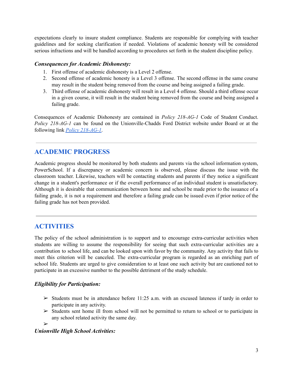expectations clearly to insure student compliance. Students are responsible for complying with teacher guidelines and for seeking clarification if needed. Violations of academic honesty will be considered serious infractions and will be handled according to procedures set forth in the student discipline policy.

#### *Consequences for Academic Dishonesty:*

- 1. First offense of academic dishonesty is a Level 2 offense.
- 2. Second offense of academic honesty is a Level 3 offense. The second offense in the same course may result in the student being removed from the course and being assigned a failing grade.
- 3. Third offense of academic dishonesty will result in a Level 4 offense. Should a third offense occur in a given course, it will result in the student being removed from the course and being assigned a failing grade.

Consequences of Academic Dishonesty are contained in *Policy 218-AG-1* Code of Student Conduct. *Policy 218-AG-1* can be found on the Unionville-Chadds Ford District website under Board or at the following link *Policy [218-AG-1](http://www.boarddocs.com/pa/uncf/Board.nsf/goto?open&id=B4LNGL59A691)*.

## **ACADEMIC PROGRESS**

Academic progress should be monitored by both students and parents via the school information system, PowerSchool. If a discrepancy or academic concern is observed, please discuss the issue with the classroom teacher. Likewise, teachers will be contacting students and parents if they notice a significant change in a student's performance or if the overall performance of an individual student is unsatisfactory. Although it is desirable that communication between home and school be made prior to the issuance of a failing grade, it is not a requirement and therefore a failing grade can be issued even if prior notice of the failing grade has not been provided.

## **ACTIVITIES**

The policy of the school administration is to support and to encourage extra-curricular activities when students are willing to assume the responsibility for seeing that such extra-curricular activities are a contribution to school life, and can be looked upon with favor by the community. Any activity that fails to meet this criterion will be canceled. The extra-curricular program is regarded as an enriching part of school life. Students are urged to give consideration to at least one such activity but are cautioned not to participate in an excessive number to the possible detriment of the study schedule.

#### *Eligibility for Participation:*

- $\geq$  Students must be in attendance before 11:25 a.m. with an excused lateness if tardy in order to participate in any activity.
- $\geq$  Students sent home ill from school will not be permitted to return to school or to participate in any school related activity the same day.

➢

#### *Unionville High School Activities:*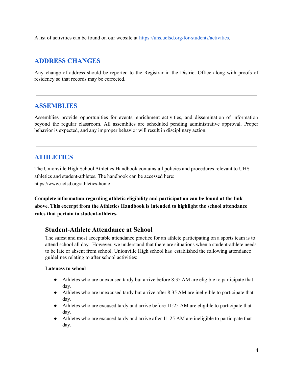A list of activities can be found on our website at [https://uhs.ucfsd.org/for-students/activities.](https://uhs.ucfsd.org/for-students/activities)

# **ADDRESS CHANGES**

Any change of address should be reported to the Registrar in the District Office along with proofs of residency so that records may be corrected.

## **ASSEMBLIES**

Assemblies provide opportunities for events, enrichment activities, and dissemination of information beyond the regular classroom. All assemblies are scheduled pending administrative approval. Proper behavior is expected, and any improper behavior will result in disciplinary action.

# **ATHLETICS**

The Unionville High School Athletics Handbook contains all policies and procedures relevant to UHS athletics and student-athletes. The handbook can be accessed here: <https://www.ucfsd.org/athletics-home>

**Complete information regarding athletic eligibility and participation can be found at the link above. This excerpt from the Athletics Handbook is intended to highlight the school attendance rules that pertain to student-athletes.**

## **Student-Athlete Attendance at School**

The safest and most acceptable attendance practice for an athlete participating on a sports team is to attend school all day. However, we understand that there are situations when a student-athlete needs to be late or absent from school. Unionville High school has established the following attendance guidelines relating to after school activities:

#### **Lateness to school**

- Athletes who are unexcused tardy but arrive before 8:35 AM are eligible to participate that day.
- Athletes who are unexcused tardy but arrive after 8:35 AM are ineligible to participate that day.
- Athletes who are excused tardy and arrive before 11:25 AM are eligible to participate that day.
- Athletes who are excused tardy and arrive after 11:25 AM are ineligible to participate that day.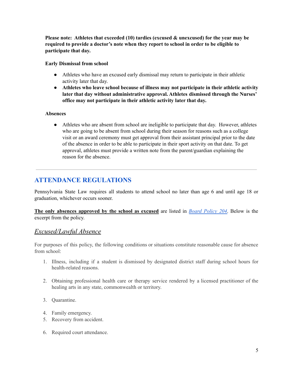**Please note: Athletes that exceeded (10) tardies (excused & unexcused) for the year may be required to provide a doctor's note when they report to school in order to be eligible to participate that day.**

**Early Dismissal from school**

- Athletes who have an excused early dismissal may return to participate in their athletic activity later that day.
- **● Athletes who leave school because of illness may not participate in their athletic activity later that day without administrative approval. Athletes dismissed through the Nurses' office may not participate in their athletic activity later that day.**

#### **Absences**

• Athletes who are absent from school are ineligible to participate that day. However, athletes who are going to be absent from school during their season for reasons such as a college visit or an award ceremony must get approval from their assistant principal prior to the date of the absence in order to be able to participate in their sport activity on that date. To get approval, athletes must provide a written note from the parent/guardian explaining the reason for the absence.

# **ATTENDANCE REGULATIONS**

Pennsylvania State Law requires all students to attend school no later than age 6 and until age 18 or graduation, whichever occurs sooner.

**The only absences approved by the school as excused** are listed in *Board [Policy](http://www.boarddocs.com/pa/uncf/Board.nsf/goto?open&id=AS8L3552B333) 204*. Below is the excerpt from the policy.

## *Excused/Lawful Absence*

For purposes of this policy, the following conditions or situations constitute reasonable cause for absence from school:

- 1. Illness, including if a student is dismissed by designated district staff during school hours for health-related reasons.
- 2. Obtaining professional health care or therapy service rendered by a licensed practitioner of the healing arts in any state, commonwealth or territory.
- 3. Quarantine.
- 4. Family emergency.
- 5. Recovery from accident.
- 6. Required court attendance.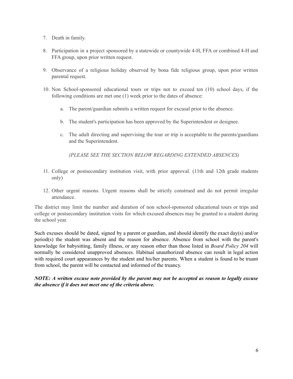- 7. Death in family.
- 8. Participation in a project sponsored by a statewide or countywide 4-H, FFA or combined 4-H and FFA group, upon prior written request.
- 9. Observance of a religious holiday observed by bona fide religious group, upon prior written parental request.
- 10. Non School-sponsored educational tours or trips not to exceed ten (10) school days, if the following conditions are met one (1) week prior to the dates of absence:
	- a. The parent/guardian submits a written request for excusal prior to the absence.
	- b. The student's participation has been approved by the Superintendent or designee.
	- c. The adult directing and supervising the tour or trip is acceptable to the parents/guardians and the Superintendent.

*(PLEASE SEE THE SECTION BELOW REGARDING EXTENDED ABSENCES)*

- 11. College or postsecondary institution visit, with prior approval. (11th and 12th grade students only)
- 12. Other urgent reasons. Urgent reasons shall be strictly construed and do not permit irregular attendance.

The district may limit the number and duration of non school-sponsored educational tours or trips and college or postsecondary institution visits for which excused absences may be granted to a student during the school year.

Such excuses should be dated, signed by a parent or guardian, and should identify the exact day(s) and/or period(s) the student was absent and the reason for absence. Absence from school with the parent's knowledge for babysitting, family illness, or any reason other than those listed in *Board Policy 204* will normally be considered unapproved absences. Habitual unauthorized absence can result in legal action with required court appearances by the student and his/her parents. When a student is found to be truant from school, the parent will be contacted and informed of the truancy.

*NOTE: A written excuse note provided by the parent may not be accepted as reason to legally excuse the absence if it does not meet one of the criteria above.*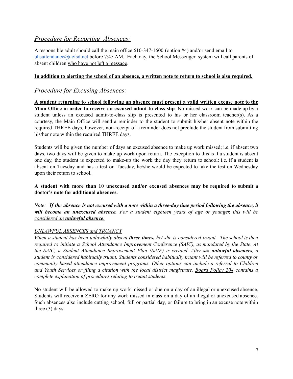## *Procedure for Reporting Absences:*

A responsible adult should call the main office 610-347-1600 (option #4) and/or send email to [uhsattendance@ucfsd.net](mailto:uhsattendance@ucfsd.net) before 7:45 AM. Each day, the School Messenger system will call parents of absent children who have not left a message.

#### In addition to alerting the school of an absence, a written note to return to school is also required.

#### *Procedure for Excusing Absences:*

**A student returning to school following an absence must present a valid written excuse note to the Main Office in order to receive an excused admit-to-class slip**. No missed work can be made up by a student unless an excused admit-to-class slip is presented to his or her classroom teacher(s). As a courtesy, the Main Office will send a reminder to the student to submit his/her absent note within the required THREE days, however, non-receipt of a reminder does not preclude the student from submitting his/her note within the required THREE days.

Students will be given the number of days an excused absence to make up work missed; i.e. if absent two days, two days will be given to make up work upon return. The exception to this is if a student is absent one day, the student is expected to make-up the work the day they return to school: i.e. if a student is absent on Tuesday and has a test on Tuesday, he/she would be expected to take the test on Wednesday upon their return to school.

#### **A student with more than 10 unexcused and/or excused absences may be required to submit a doctor's note for additional absences.**

Note: If the absence is not excused with a note within a three-day time period following the absence, it *will become an unexcused absence. For a student eighteen years of age or younger, this will be considered an unlawful absence.*

#### *UNLAWFUL ABSENCES and TRUANCY*

When a student has been unlawfully absent **three times**, he/ she is considered truant. The school is then *required to initiate a School Attendance Improvement Conference (SAIC), as mandated by the State. At the SAIC, a Student Attendance Improvement Plan (SAIP) is created. After six unlawful absences, a student is considered habitually truant. Students considered habitually truant will be referred to county or community based attendance improvement programs. Other options can include a referral to Children and Youth Services or filing a citation with the local district magistrate. Board [Policy](http://go.boarddocs.com/pa/uncf/Board.nsf/goto?open&id=AS8L3552B333) 204 contains a complete explanation of procedures relating to truant students.*

No student will be allowed to make up work missed or due on a day of an illegal or unexcused absence. Students will receive a ZERO for any work missed in class on a day of an illegal or unexcused absence. Such absences also include cutting school, full or partial day, or failure to bring in an excuse note within three (3) days.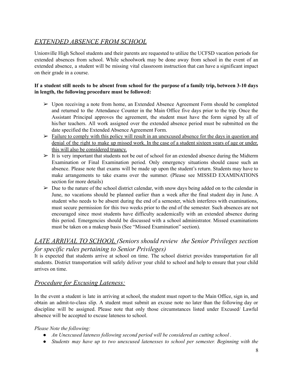# *EXTENDED ABSENCE FROM SCHOOL*

Unionville High School students and their parents are requested to utilize the UCFSD vacation periods for extended absences from school. While schoolwork may be done away from school in the event of an extended absence, a student will be missing vital classroom instruction that can have a significant impact on their grade in a course.

#### If a student still needs to be absent from school for the purpose of a family trip, between 3-10 days **in length, the following procedure must be followed:**

- ➢ Upon receiving a note from home, an Extended Absence Agreement Form should be completed and returned to the Attendance Counter in the Main Office five days prior to the trip. Once the Assistant Principal approves the agreement, the student must have the form signed by all of his/her teachers. All work assigned over the extended absence period must be submitted on the date specified the Extended Absence Agreement Form.
- $\triangleright$  Failure to comply with this policy will result in an unexcused absence for the days in question and denial of the right to make up missed work. In the case of a student sixteen years of age or under, this will also be considered truancy.
- $\triangleright$  It is very important that students not be out of school for an extended absence during the Midterm Examination or Final Examination period. Only emergency situations should cause such an absence. Please note that exams will be made up upon the student's return. Students may have to make arrangements to take exams over the summer. (Please see MISSED EXAMINATIONS section for more details)
- $\triangleright$  Due to the nature of the school district calendar, with snow days being added on to the calendar in June, no vacations should be planned earlier than a week after the final student day in June. A student who needs to be absent during the end of a semester, which interferes with examinations, must secure permission for this two weeks prior to the end of the semester. Such absences are not encouraged since most students have difficulty academically with an extended absence during this period. Emergencies should be discussed with a school administrator. Missed examinations must be taken on a makeup basis (See "Missed Examination" section).

# *LATE ARRIVAL TO SCHOOL (Seniors should review the Senior Privileges section for specific rules pertaining to Senior Privileges)*

It is expected that students arrive at school on time. The school district provides transportation for all students. District transportation will safely deliver your child to school and help to ensure that your child arrives on time.

## *Procedure for Excusing Lateness:*

In the event a student is late in arriving at school, the student must report to the Main Office, sign in, and obtain an admit-to-class slip. A student must submit an excuse note no later than the following day or discipline will be assigned. Please note that only those circumstances listed under Excused/ Lawful absence will be accepted to excuse lateness to school.

#### *Please Note the following:*

- *● An Unexcused lateness following second period will be considered as cutting school .*
- *● Students may have up to two unexcused latenesses to school per semester. Beginning with the*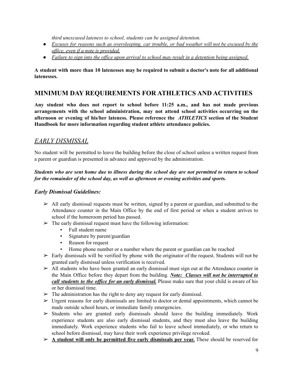*third unexcused lateness to school, students can be assigned detention.*

- *● Excuses for reasons such as oversleeping, car trouble, or bad weather will not be excused by the of ice, even if a note is provided.*
- Failure to sign into the office upon arrival to school may result in a detention being assigned.

A student with more than 10 latenesses may be required to submit a doctor's note for all additional **latenesses.**

# **MINIMUM DAY REQUIREMENTS FOR ATHLETICS AND ACTIVITIES**

**Any student who does not report to school before 11:25 a.m., and has not made previous arrangements with the school administration, may not attend school activities occurring on the afternoon or evening of his/her lateness. Please reference the** *ATHLETICS* **section of the Student Handbook for more information regarding student athlete attendance policies.**

## *EARLY DISMISSAL*

No student will be permitted to leave the building before the close of school unless a written request from a parent or guardian is presented in advance and approved by the administration.

#### Students who are sent home due to illness during the school day are not permitted to return to school *for the remainder of the school day, as well as afternoon or evening activities and sports.*

#### *Early Dismissal Guidelines:*

- $\triangleright$  All early dismissal requests must be written, signed by a parent or guardian, and submitted to the Attendance counter in the Main Office by the end of first period or when a student arrives to school if the homeroom period has passed.
- $\triangleright$  The early dismissal request must have the following information:
	- Full student name
	- Signature by parent/guardian
	- Reason for request
	- Home phone number or a number where the parent or guardian can be reached
- $\triangleright$  Early dismissals will be verified by phone with the originator of the request. Students will not be granted early dismissal unless verification is received.
- $\triangleright$  All students who have been granted an early dismissal must sign out at the Attendance counter in the Main Office before they depart from the building. *Note: Classes will not be interrupted to call students to the of ice for an early dismissal.* Please make sure that your child is aware of his or her dismissal time.
- $\triangleright$  The administration has the right to deny any request for early dismissal.
- $\triangleright$  Urgent reasons for early dismissals are limited to doctor or dental appointments, which cannot be made outside school hours, or immediate family emergencies.
- $\geq$  Students who are granted early dismissals should leave the building immediately. Work experience students are also early dismissal students, and they must also leave the building immediately. Work experience students who fail to leave school immediately, or who return to school before dismissal, may have their work experience privilege revoked.
- ➢ **A student will only be permitted five early dismissals per year.** These should be reserved for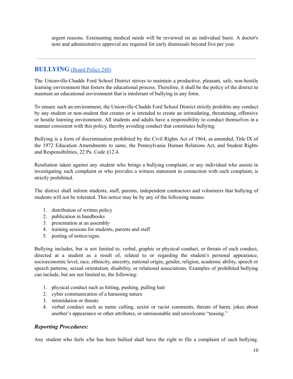urgent reasons. Extenuating medical needs will be reviewed on an individual basis. A doctor's note and administrative approval are required for early dismissals beyond five per year.

## **BULLYING** [\(Board](http://www.boarddocs.com/pa/uncf/Board.nsf/goto?open&id=9VX7RF1ADEFF) Policy 249)

The Unionville-Chadds Ford School District strives to maintain a productive, pleasant, safe, non-hostile learning environment that fosters the educational process. Therefore, it shall be the policy of the district to maintain an educational environment that is intolerant of bullying in any form.

To ensure such an environment, the Unionville-Chadds Ford School District strictly prohibits any conduct by any student or non-student that creates or is intended to create an intimidating, threatening, offensive or hostile learning environment. All students and adults have a responsibility to conduct themselves in a manner consistent with this policy, thereby avoiding conduct that constitutes bullying.

Bullying is a form of discrimination prohibited by the Civil Rights Act of 1964, as amended, Title IX of the 1972 Education Amendments to same, the Pennsylvania Human Relations Act, and Student Rights and Responsibilities, 22 Pa. Code §12.4.

Retaliation taken against any student who brings a bullying complaint, or any individual who assists in investigating such complaint or who provides a witness statement in connection with such complaint, is strictly prohibited.

The district shall inform students, staff, parents, independent contractors and volunteers that bullying of students will not be tolerated. This notice may be by any of the following means:

- 1. distribution of written policy
- 2. publication in handbooks
- 3. presentation at an assembly
- 4. training sessions for students, parents and staff
- 5. posting of notice/signs.

Bullying includes, but is not limited to, verbal, graphic or physical conduct, or threats of such conduct, directed at a student as a result of, related to or regarding the student's personal appearance, socioeconomic level, race, ethnicity, ancestry, national origin, gender, religion, academic ability, speech or speech patterns, sexual orientation, disability, or relational associations. Examples of prohibited bullying can include, but are not limited to, the following:

- 1. physical conduct such as hitting, pushing, pulling hair
- 2. cyber communication of a harassing nature
- 3. intimidation or threats
- 4. verbal conduct such as name calling, sexist or racist comments, threats of harm, jokes about another's appearance or other attributes, or unreasonable and unwelcome "teasing."

#### *Reporting Procedures:*

Any student who feels s/he has been bullied shall have the right to file a complaint of such bullying.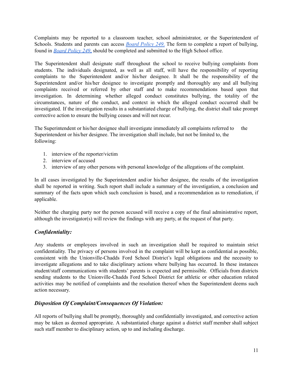Complaints may be reported to a classroom teacher, school administrator, or the Superintendent of Schools. Students and parents can access *Board [Policy](http://go.boarddocs.com/pa/uncf/Board.nsf/goto?open&id=BADEVT4B1CCB) 249*. The form to complete a report of bullying, found in *Board [Policy](http://go.boarddocs.com/pa/uncf/Board.nsf/goto?open&id=BADEVT4B1CCB) 249*, should be completed and submitted to the High School office.

The Superintendent shall designate staff throughout the school to receive bullying complaints from students. The individuals designated, as well as all staff, will have the responsibility of reporting complaints to the Superintendent and/or his/her designee. It shall be the responsibility of the Superintendent and/or his/her designee to investigate promptly and thoroughly any and all bullying complaints received or referred by other staff and to make recommendations based upon that investigation. In determining whether alleged conduct constitutes bullying, the totality of the circumstances, nature of the conduct, and context in which the alleged conduct occurred shall be investigated. If the investigation results in a substantiated charge of bullying, the district shall take prompt corrective action to ensure the bullying ceases and will not recur.

The Superintendent or his/her designee shall investigate immediately all complaints referred to the Superintendent or his/her designee. The investigation shall include, but not be limited to, the following:

- 1. interview of the reporter/victim
- 2. interview of accused
- 3. interview of any other persons with personal knowledge of the allegations of the complaint.

In all cases investigated by the Superintendent and/or his/her designee, the results of the investigation shall be reported in writing. Such report shall include a summary of the investigation, a conclusion and summary of the facts upon which such conclusion is based, and a recommendation as to remediation, if applicable.

Neither the charging party nor the person accused will receive a copy of the final administrative report, although the investigator(s) will review the findings with any party, at the request of that party.

#### *Confidentiality:*

Any students or employees involved in such an investigation shall be required to maintain strict confidentiality. The privacy of persons involved in the complaint will be kept as confidential as possible, consistent with the Unionville-Chadds Ford School District's legal obligations and the necessity to investigate allegations and to take disciplinary actions where bullying has occurred. In these instances student/staff communications with students' parents is expected and permissible. Officials from districts sending students to the Unionville-Chadds Ford School District for athletic or other education related activities may be notified of complaints and the resolution thereof when the Superintendent deems such action necessary.

#### *Disposition Of Complaint/Consequences Of Violation:*

All reports of bullying shall be promptly, thoroughly and confidentially investigated, and corrective action may be taken as deemed appropriate. A substantiated charge against a district staff member shall subject such staff member to disciplinary action, up to and including discharge.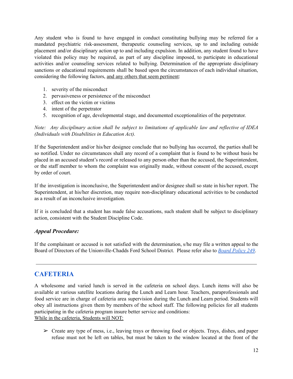Any student who is found to have engaged in conduct constituting bullying may be referred for a mandated psychiatric risk-assessment, therapeutic counseling services, up to and including outside placement and/or disciplinary action up to and including expulsion. In addition, any student found to have violated this policy may be required, as part of any discipline imposed, to participate in educational activities and/or counseling services related to bullying. Determination of the appropriate disciplinary sanctions or educational requirements shall be based upon the circumstances of each individual situation, considering the following factors, and any others that seem pertinent:

- 1. severity of the misconduct
- 2. pervasiveness or persistence of the misconduct
- 3. effect on the victim or victims
- 4. intent of the perpetrator
- 5. recognition of age, developmental stage, and documented exceptionalities of the perpetrator.

*Note: Any disciplinary action shall be subject to limitations of applicable law and reflective of IDEA (Individuals with Disabilities in Education Act).*

If the Superintendent and/or his/her designee conclude that no bullying has occurred, the parties shall be so notified. Under no circumstances shall any record of a complaint that is found to be without basis be placed in an accused student's record or released to any person other than the accused, the Superintendent, or the staff member to whom the complaint was originally made, without consent of the accused, except by order of court.

If the investigation is inconclusive, the Superintendent and/or designee shall so state in his/her report. The Superintendent, at his/her discretion, may require non-disciplinary educational activities to be conducted as a result of an inconclusive investigation.

If it is concluded that a student has made false accusations, such student shall be subject to disciplinary action, consistent with the Student Discipline Code.

#### *Appeal Procedure:*

If the complainant or accused is not satisfied with the determination, s/he may file a written appeal to the Board of Directors of the Unionville-Chadds Ford School District. Please refer also to *Board [Policy](http://www.boarddocs.com/pa/uncf/Board.nsf/goto?open&id=9VX7RF1ADEFF) 249*.

# **CAFETERIA**

A wholesome and varied lunch is served in the cafeteria on school days. Lunch items will also be available at various satellite locations during the Lunch and Learn hour. Teachers, paraprofessionals and food service are in charge of cafeteria area supervision during the Lunch and Learn period. Students will obey all instructions given them by members of the school staff. The following policies for all students participating in the cafeteria program insure better service and conditions: While in the cafeteria, Students will NOT:

➢ Create any type of mess, i.e., leaving trays or throwing food or objects. Trays, dishes, and paper refuse must not be left on tables, but must be taken to the window located at the front of the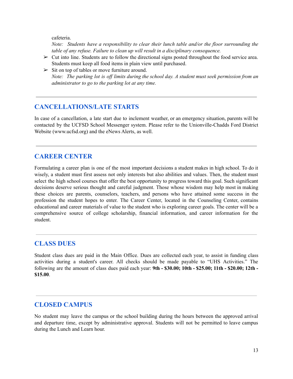cafeteria.

*Note: Students have a responsibility to clear their lunch table and/or the floor surrounding the table of any refuse. Failure to clean up will result in a disciplinary consequence.*

- $\triangleright$  Cut into line. Students are to follow the directional signs posted throughout the food service area. Students must keep all food items in plain view until purchased.
- $\triangleright$  Sit on top of tables or move furniture around. *Note: The parking lot is of limits during the school day. A student must seek permission from an administrator to go to the parking lot at any time.*

#### **CANCELLATIONS/LATE STARTS**

In case of a cancellation, a late start due to inclement weather, or an emergency situation, parents will be contacted by the UCFSD School Messenger system. Please refer to the Unionville-Chadds Ford District Website (www.ucfsd.org) and the eNews Alerts, as well.

## **CAREER CENTER**

Formulating a career plan is one of the most important decisions a student makes in high school. To do it wisely, a student must first assess not only interests but also abilities and values. Then, the student must select the high school courses that offer the best opportunity to progress toward this goal. Such significant decisions deserve serious thought and careful judgment. Those whose wisdom may help most in making these choices are parents, counselors, teachers, and persons who have attained some success in the profession the student hopes to enter. The Career Center, located in the Counseling Center, contains educational and career materials of value to the student who is exploring career goals. The center will be a comprehensive source of college scholarship, financial information, and career information for the student.

## **CLASS DUES**

Student class dues are paid in the Main Office. Dues are collected each year, to assist in funding class activities during a student's career. All checks should be made payable to "UHS Activities." The following are the amount of class dues paid each year: **9th - \$30.00; 10th - \$25.00; 11th - \$20.00; 12th - \$15.00**.

## **CLOSED CAMPUS**

No student may leave the campus or the school building during the hours between the approved arrival and departure time, except by administrative approval. Students will not be permitted to leave campus during the Lunch and Learn hour.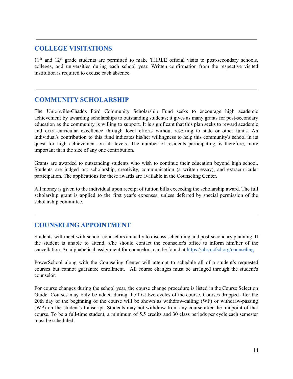## **COLLEGE VISITATIONS**

11<sup>th</sup> and 12<sup>th</sup> grade students are permitted to make THREE official visits to post-secondary schools, colleges, and universities during each school year. Written confirmation from the respective visited institution is required to excuse each absence.

# **COMMUNITY SCHOLARSHIP**

The Unionville-Chadds Ford Community Scholarship Fund seeks to encourage high academic achievement by awarding scholarships to outstanding students; it gives as many grants for post-secondary education as the community is willing to support. It is significant that this plan seeks to reward academic and extra-curricular excellence through local efforts without resorting to state or other funds. An individual's contribution to this fund indicates his/her willingness to help this community's school in its quest for high achievement on all levels. The number of residents participating, is therefore, more important than the size of any one contribution.

Grants are awarded to outstanding students who wish to continue their education beyond high school. Students are judged on: scholarship, creativity, communication (a written essay), and extracurricular participation. The applications for these awards are available in the Counseling Center.

All money is given to the individual upon receipt of tuition bills exceeding the scholarship award. The full scholarship grant is applied to the first year's expenses, unless deferred by special permission of the scholarship committee.

# **COUNSELING APPOINTMENT**

Students will meet with school counselors annually to discuss scheduling and post-secondary planning. If the student is unable to attend, s/he should contact the counselor's office to inform him/her of the cancellation. An alphabetical assignment for counselors can be found at <https://uhs.ucfsd.org/counseling>

PowerSchool along with the Counseling Center will attempt to schedule all of a student's requested courses but cannot guarantee enrollment. All course changes must be arranged through the student's counselor.

For course changes during the school year, the course change procedure is listed in the Course Selection Guide. Courses may only be added during the first two cycles of the course. Courses dropped after the 20th day of the beginning of the course will be shown as withdraw-failing (WF) or withdraw-passing (WP) on the student's transcript. Students may not withdraw from any course after the midpoint of that course. To be a full-time student, a minimum of 5.5 credits and 30 class periods per cycle each semester must be scheduled.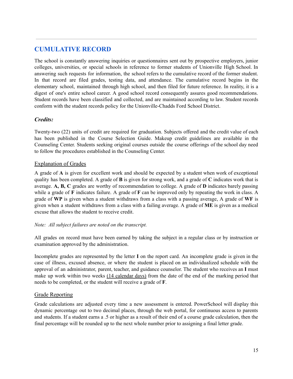# **CUMULATIVE RECORD**

The school is constantly answering inquiries or questionnaires sent out by prospective employers, junior colleges, universities, or special schools in reference to former students of Unionville High School. In answering such requests for information, the school refers to the cumulative record of the former student. In that record are filed grades, testing data, and attendance. The cumulative record begins in the elementary school, maintained through high school, and then filed for future reference. In reality, it is a digest of one's entire school career. A good school record consequently assures good recommendations. Student records have been classified and collected, and are maintained according to law. Student records conform with the student records policy for the Unionville-Chadds Ford School District.

#### *Credits:*

Twenty-two (22) units of credit are required for graduation. Subjects offered and the credit value of each has been published in the Course Selection Guide. Makeup credit guidelines are available in the Counseling Center. Students seeking original courses outside the course offerings of the school day need to follow the procedures established in the Counseling Center.

#### Explanation of Grades

A grade of **A** is given for excellent work and should be expected by a student when work of exceptional quality has been completed. A grade of **B** is given for strong work, and a grade of **C** indicates work that is average. **A, B, C** grades are worthy of recommendation to college. A grade of **D** indicates barely passing while a grade of **F** indicates failure. A grade of **F** can be improved only by repeating the work in class. A grade of **WP** is given when a student withdraws from a class with a passing average, A grade of **WF** is given when a student withdraws from a class with a failing average. A grade of **ME** is given as a medical excuse that allows the student to receive credit.

#### *Note: All subject failures are noted on the transcript.*

All grades on record must have been earned by taking the subject in a regular class or by instruction or examination approved by the administration.

Incomplete grades are represented by the letter **I** on the report card. An incomplete grade is given in the case of illness, excused absence, or where the student is placed on an individualized schedule with the approval of an administrator, parent, teacher, and guidance counselor. The student who receives an **I** must make up work within two weeks (14 calendar days) from the date of the end of the marking period that needs to be completed, or the student will receive a grade of **F**.

#### Grade Reporting

Grade calculations are adjusted every time a new assessment is entered. PowerSchool will display this dynamic percentage out to two decimal places, through the web portal, for continuous access to parents and students. If a student earns a .5 or higher as a result of their end of a course grade calculation, then the final percentage will be rounded up to the next whole number prior to assigning a final letter grade.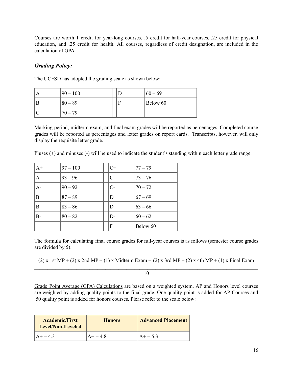Courses are worth 1 credit for year-long courses, .5 credit for half-year courses, .25 credit for physical education, and .25 credit for health. All courses, regardless of credit designation, are included in the calculation of GPA.

#### *Grading Policy:*

The UCFSD has adopted the grading scale as shown below:

| $ 90 - 100 $ |  | $ 60 - 69 $ |
|--------------|--|-------------|
| $ 80 - 89 $  |  | Below 60    |
| $70 - 79$    |  |             |

Marking period, midterm exam, and final exam grades will be reported as percentages. Completed course grades will be reported as percentages and letter grades on report cards. Transcripts, however, will only display the requisite letter grade.

Pluses (+) and minuses (-) will be used to indicate the student's standing within each letter grade range.

| $ A+$ | $97 - 100$ | $C+$          | $77 - 79$   |
|-------|------------|---------------|-------------|
| A     | $93 - 96$  | $\mathcal{C}$ | $ 73 - 76 $ |
| A-    | $90 - 92$  | $C-$          | $70 - 72$   |
| $ B+$ | $87 - 89$  | $D+$          | $67 - 69$   |
| ΙB    | $83 - 86$  | D             | $63 - 66$   |
| lB-   | $80 - 82$  | $D-$          | $60 - 62$   |
|       |            | F             | Below 60    |

The formula for calculating final course grades for full-year courses is as follows (semester course grades are divided by 5):

(2) x 1st MP + (2) x 2nd MP + (1) x Midterm Exam + (2) x 3rd MP + (2) x 4th MP + (1) x Final Exam

 $\mathcal{L}_\text{max} = \mathcal{L}_\text{max} = \mathcal{L}_\text{max} = \mathcal{L}_\text{max} = \mathcal{L}_\text{max} = \mathcal{L}_\text{max} = \mathcal{L}_\text{max} = \mathcal{L}_\text{max} = \mathcal{L}_\text{max} = \mathcal{L}_\text{max} = \mathcal{L}_\text{max} = \mathcal{L}_\text{max} = \mathcal{L}_\text{max} = \mathcal{L}_\text{max} = \mathcal{L}_\text{max} = \mathcal{L}_\text{max} = \mathcal{L}_\text{max} = \mathcal{L}_\text{max} = \mathcal{$ 10

Grade Point Average (GPA) Calculations are based on a weighted system. AP and Honors level courses are weighted by adding quality points to the final grade. One quality point is added for AP Courses and .50 quality point is added for honors courses. Please refer to the scale below:

| <b>Academic/First</b><br><b>Level/Non-Leveled</b> | <b>Honors</b> | <b>Advanced Placement</b> |  |
|---------------------------------------------------|---------------|---------------------------|--|
| $A + 43$                                          | $A + 48$      | $A + 53$                  |  |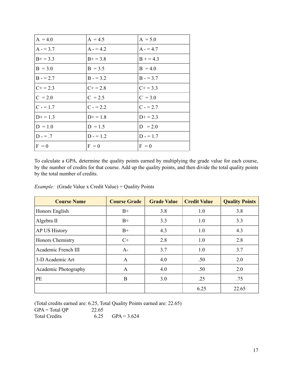| $A = 4.0$  | $A = 4.5$     | $A = 5.0$  |
|------------|---------------|------------|
| $A - 3.7$  | $A - 4.2$     | $A - 4.7$  |
| $B+=3.3$   | $B+ = 3.8$    | $B = 4.3$  |
| $B = 3.0$  | $B = 3.5$     | $B = 4.0$  |
| $B - 2.7$  | $B - 3.2$     | $B - 3.7$  |
| $C+ = 2.3$ | $C_{+} = 2.8$ | $C+=3.3$   |
| $C = 2.0$  | $C = 2.5$     | $C = 3.0$  |
| $C = 1.7$  | $C = 2.2$     | $C = 2.7$  |
| $D+ = 1.3$ | $D+ = 1.8$    | $D+ = 2.3$ |
| $D = 1.0$  | $D = 1.5$     | $D = 2.0$  |
| $D - 7$    | $D = 1.2$     | $D = 1.7$  |
| $F = 0$    | $F = 0$       | $F = 0$    |

To calculate a GPA, determine the quality points earned by multiplying the grade value for each course, by the number of credits for that course. Add up the quality points, and then divide the total quality points by the total number of credits.

| <b>Course Name</b>   | <b>Course Grade</b> | <b>Grade Value</b> | <b>Credit Value</b> | <b>Quality Points</b> |
|----------------------|---------------------|--------------------|---------------------|-----------------------|
| Honors English       | $B+$                | 3.8                | 1.0                 | 3.8                   |
| Algebra II           | $B+$                | 3.3                | 1.0                 | 3.3                   |
| <b>AP US History</b> | $B+$                | 4.3                | 1.0                 | 4.3                   |
| Honors Chemistry     | $C+$                | 2.8                | 1.0                 | 2.8                   |
| Academic French III  | $A-$                | 3.7                | 1.0                 | 3.7                   |
| 3-D Academic Art     | A                   | 4.0                | .50                 | 2.0                   |
| Academic Photography | A                   | 4.0                | .50                 | 2.0                   |
| PE                   | B                   | 3.0                | .25                 | .75                   |
|                      |                     |                    | 6.25                | 22.65                 |

(Total credits earned are: 6.25, Total Quality Points earned are: 22.65)  $GPA = Total QP$  22.65 Total Credits 6.25  $GPA = 3.624$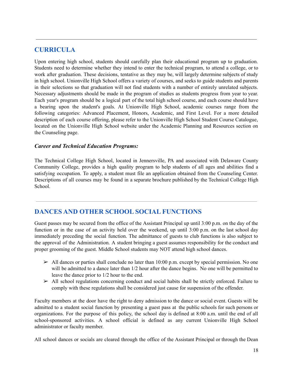## **CURRICULA**

Upon entering high school, students should carefully plan their educational program up to graduation. Students need to determine whether they intend to enter the technical program, to attend a college, or to work after graduation. These decisions, tentative as they may be, will largely determine subjects of study in high school. Unionville High School offers a variety of courses, and seeks to guide students and parents in their selections so that graduation will not find students with a number of entirely unrelated subjects. Necessary adjustments should be made in the program of studies as students progress from year to year. Each year's program should be a logical part of the total high school course, and each course should have a bearing upon the student's goals. At Unionville High School, academic courses range from the following categories: Advanced Placement, Honors, Academic, and First Level. For a more detailed description of each course offering, please refer to the Unionville High School Student Course Catalogue, located on the Unionville High School website under the Academic Planning and Resources section on the Counseling page.

#### *Career and Technical Education Programs:*

The Technical College High School, located in Jennersville, PA and associated with Delaware County Community College, provides a high quality program to help students of all ages and abilities find a satisfying occupation. To apply, a student must file an application obtained from the Counseling Center. Descriptions of all courses may be found in a separate brochure published by the Technical College High School.

# **DANCES AND OTHER SCHOOL SOCIAL FUNCTIONS**

Guest passes may be secured from the office of the Assistant Principal up until 3:00 p.m. on the day of the function or in the case of an activity held over the weekend, up until 3:00 p.m. on the last school day immediately preceding the social function. The admittance of guests to club functions is also subject to the approval of the Administration. A student bringing a guest assumes responsibility for the conduct and proper grooming of the guest. Middle School students may NOT attend high school dances.

- $\ge$  All dances or parties shall conclude no later than 10:00 p.m. except by special permission. No one will be admitted to a dance later than  $1/2$  hour after the dance begins. No one will be permitted to leave the dance prior to 1/2 hour to the end.
- $\triangleright$  All school regulations concerning conduct and social habits shall be strictly enforced. Failure to comply with these regulations shall be considered just cause for suspension of the offender.

Faculty members at the door have the right to deny admission to the dance or social event. Guests will be admitted to a student social function by presenting a guest pass at the public schools for such persons or organizations. For the purpose of this policy, the school day is defined at 8:00 a.m. until the end of all school-sponsored activities. A school official is defined as any current Unionville High School administrator or faculty member.

All school dances or socials are cleared through the office of the Assistant Principal or through the Dean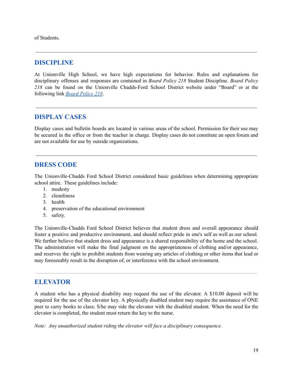of Students.

#### **DISCIPLINE**

At Unionville High School, we have high expectations for behavior. Rules and explanations for disciplinary offenses and responses are contained in *Board Policy 218* Student Discipline. *Board Policy 218* can be found on the Unionville Chadds-Ford School District website under "Board" or at the following link *Board [Policy](http://www.boarddocs.com/pa/uncf/Board.nsf/goto?open&id=AU2TCT71C4DC) 218*.

## **DISPLAY CASES**

Display cases and bulletin boards are located in various areas of the school. Permission for their use may be secured in the office or from the teacher in charge. Display cases do not constitute an open forum and are not available for use by outside organizations.

#### **DRESS CODE**

The Unionville-Chadds Ford School District considered basic guidelines when determining appropriate school attire. These guidelines include:

- 1. modesty
- 2. cleanliness
- 3. health
- 4. preservation of the educational environment
- 5. safety.

The Unionville-Chadds Ford School District believes that student dress and overall appearance should foster a positive and productive environment, and should reflect pride in one's self as well as our school. We further believe that student dress and appearance is a shared responsibility of the home and the school. The administration will make the final judgment on the appropriateness of clothing and/or appearance, and reserves the right to prohibit students from wearing any articles of clothing or other items that lead or may foreseeably result in the disruption of, or interference with the school environment.

#### **ELEVATOR**

A student who has a physical disability may request the use of the elevator. A \$10.00 deposit will be required for the use of the elevator key. A physically disabled student may require the assistance of ONE peer to carry books to class; S/he may ride the elevator with the disabled student. When the need for the elevator is completed, the student must return the key to the nurse.

*Note: Any unauthorized student riding the elevator will face a disciplinary consequence.*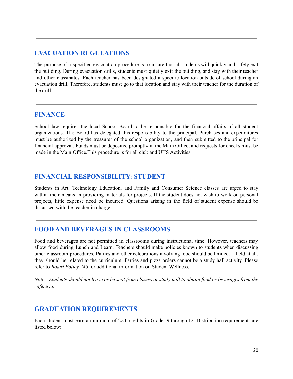# **EVACUATION REGULATIONS**

The purpose of a specified evacuation procedure is to insure that all students will quickly and safely exit the building. During evacuation drills, students must quietly exit the building, and stay with their teacher and other classmates. Each teacher has been designated a specific location outside of school during an evacuation drill. Therefore, students must go to that location and stay with their teacher for the duration of the drill.

#### **FINANCE**

School law requires the local School Board to be responsible for the financial affairs of all student organizations. The Board has delegated this responsibility to the principal. Purchases and expenditures must be authorized by the treasurer of the school organization, and then submitted to the principal for financial approval. Funds must be deposited promptly in the Main Office, and requests for checks must be made in the Main Office.This procedure is for all club and UHS Activities.

## **FINANCIAL RESPONSIBILITY: STUDENT**

Students in Art, Technology Education, and Family and Consumer Science classes are urged to stay within their means in providing materials for projects. If the student does not wish to work on personal projects, little expense need be incurred. Questions arising in the field of student expense should be discussed with the teacher in charge.

# **FOOD AND BEVERAGES IN CLASSROOMS**

Food and beverages are not permitted in classrooms during instructional time. However, teachers may allow food during Lunch and Learn. Teachers should make policies known to students when discussing other classroom procedures. Parties and other celebrations involving food should be limited. If held at all, they should be related to the curriculum. Parties and pizza orders cannot be a study hall activity. Please refer to *Board Policy 246* for additional information on Student Wellness.

Note: Students should not leave or be sent from classes or study hall to obtain food or beverages from the *cafeteria.*

# **GRADUATION REQUIREMENTS**

Each student must earn a minimum of 22.0 credits in Grades 9 through 12. Distribution requirements are listed below: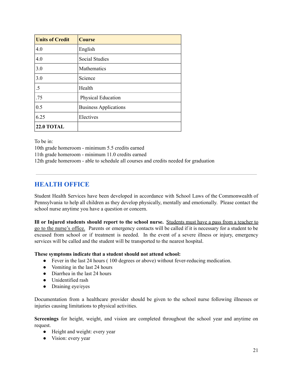| <b>Units of Credit</b> | <b>Course</b>                |
|------------------------|------------------------------|
| 4.0                    | English                      |
| 4.0                    | <b>Social Studies</b>        |
| 3.0                    | Mathematics                  |
| 3.0                    | Science                      |
| .5                     | Health                       |
| .75                    | Physical Education           |
| 0.5                    | <b>Business Applications</b> |
| 6.25                   | Electives                    |
| <b>22.0 TOTAL</b>      |                              |

To be in:

10th grade homeroom - minimum 5.5 credits earned 11th grade homeroom - minimum 11.0 credits earned 12th grade homeroom - able to schedule all courses and credits needed for graduation

# **HEALTH OFFICE**

Student Health Services have been developed in accordance with School Laws of the Commonwealth of Pennsylvania to help all children as they develop physically, mentally and emotionally. Please contact the school nurse anytime you have a question or concern.

**Ill or Injured students should report to the school nurse.** Students must have a pass from a teacher to go to the nurse's office. Parents or emergency contacts will be called if it is necessary for a student to be excused from school or if treatment is needed. In the event of a severe illness or injury, emergency services will be called and the student will be transported to the nearest hospital.

#### **These symptoms indicate that a student should not attend school:**

- Fever in the last 24 hours ( 100 degrees or above) without fever-reducing medication.
- Vomiting in the last 24 hours
- Diarrhea in the last 24 hours
- Unidentified rash
- Draining eye/eyes

Documentation from a healthcare provider should be given to the school nurse following illnesses or injuries causing limitations to physical activities.

**Screenings** for height, weight, and vision are completed throughout the school year and anytime on request.

- Height and weight: every year
- Vision: every year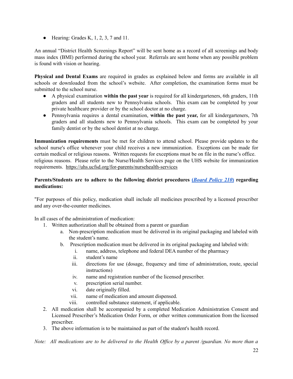• Hearing: Grades K, 1, 2, 3, 7 and 11.

An annual "District Health Screenings Report" will be sent home as a record of all screenings and body mass index (BMI) performed during the school year. Referrals are sent home when any possible problem is found with vision or hearing.

**Physical and Dental Exams** are required in grades as explained below and forms are available in all schools or downloaded from the school's website. After completion, the examination forms must be submitted to the school nurse.

- A physical examination **within the past year** is required for all kindergarteners, 6th graders, 11th graders and all students new to Pennsylvania schools. This exam can be completed by your private healthcare provider or by the school doctor at no charge.
- Pennsylvania requires a dental examination, **within the past year,** for all kindergarteners, 7th graders and all students new to Pennsylvania schools. This exam can be completed by your family dentist or by the school dentist at no charge.

**Immunization requirements** must be met for children to attend school. Please provide updates to the school nurse's office whenever your child receives a new immunization. Exceptions can be made for certain medical or religious reasons. Written requests for exceptions must be on file in the nurse's office. religious reasons. Please refer to the Nurse/Health Services page on the UHS website for immunization requirements. <https://uhs.ucfsd.org/for-parents/nursehealth-services>

#### **Parents/Students are to adhere to the following district procedures (***[Board](http://www.boarddocs.com/pa/uncf/Board.nsf/goto?open&id=9VX7MR1A540C) Policy 210***) regarding medications:**

"For purposes of this policy, medication shall include all medicines prescribed by a licensed prescriber and any over-the-counter medicines.

In all cases of the administration of medication:

- 1. Written authorization shall be obtained from a parent or guardian
	- a. Non-prescription medication must be delivered in its original packaging and labeled with the student's name.
	- b. Prescription medication must be delivered in its original packaging and labeled with:
		- i. name, address, telephone and federal DEA number of the pharmacy
		- ii. student's name
		- iii. directions for use (dosage, frequency and time of administration, route, special instructions)
		- iv. name and registration number of the licensed prescriber.
		- v. prescription serial number.
		- vi. date originally filled.
		- vii. name of medication and amount dispensed.
		- viii. controlled substance statement, if applicable.
- 2. All medication shall be accompanied by a completed Medication Administration Consent and Licensed Prescriber's Medication Order Form, or other written communication from the licensed prescriber.
- 3. The above information is to be maintained as part of the student's health record.

Note: All medications are to be delivered to the Health Office by a parent /guardian. No more than a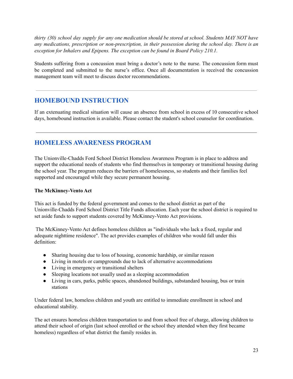thirty (30) school day supply for any one medication should be stored at school. Students MAY NOT have *any medications, prescription or non-prescription, in their possession during the school day. There is an exception for Inhalers and Epipens. The exception can be found in Board Policy 210.1.*

Students suffering from a concussion must bring a doctor's note to the nurse. The concussion form must be completed and submitted to the nurse's office. Once all documentation is received the concussion management team will meet to discuss doctor recommendations.

# **HOMEBOUND INSTRUCTION**

If an extenuating medical situation will cause an absence from school in excess of 10 consecutive school days, homebound instruction is available. Please contact the student's school counselor for coordination.

# **HOMELESS AWARENESS PROGRAM**

The Unionville-Chadds Ford School District Homeless Awareness Program is in place to address and support the educational needs of students who find themselves in temporary or transitional housing during the school year. The program reduces the barriers of homelessness, so students and their families feel supported and encouraged while they secure permanent housing.

#### **The McKinney-Vento Act**

This act is funded by the federal government and comes to the school district as part of the Unionville-Chadds Ford School District Title Funds allocation. Each year the school district is required to set aside funds to support students covered by McKinney-Vento Act provisions.

The McKinney-Vento Act defines homeless children as "individuals who lack a fixed, regular and adequate nighttime residence". The act provides examples of children who would fall under this definition:

- Sharing housing due to loss of housing, economic hardship, or similar reason
- Living in motels or campgrounds due to lack of alternative accommodations
- Living in emergency or transitional shelters
- Sleeping locations not usually used as a sleeping accommodation
- Living in cars, parks, public spaces, abandoned buildings, substandard housing, bus or train stations

Under federal law, homeless children and youth are entitled to immediate enrollment in school and educational stability.

The act ensures homeless children transportation to and from school free of charge, allowing children to attend their school of origin (last school enrolled or the school they attended when they first became homeless) regardless of what district the family resides in.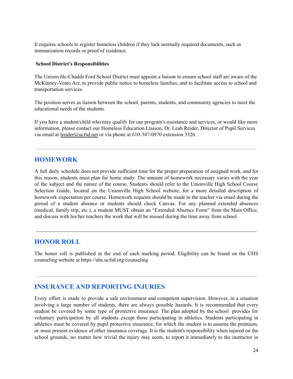It requires schools to register homeless children if they lack normally required documents, such as immunization records or proof of residence.

#### **School District's Responsibilities**

The Unionville-Chadds Ford School District must appoint a liaison to ensure school staff are aware of the McKinney-Vento Act, to provide public notice to homeless families, and to facilitate access to school and transportation services.

The position serves as liaison between the school, parents, students, and community agencies to meet the educational needs of the students.

If you have a student/child who may qualify for our program's assistance and services, or would like more information, please contact our Homeless Education Liaison, Dr. Leah Reider, Director of Pupil Services via email at [lreider@ucfsd.net](mailto:lreider@ucfsd.net) or via phone at 610-347-0970 extension 3326.

#### **HOMEWORK**

A full daily schedule does not provide sufficient time for the proper preparation of assigned work, and for this reason, students must plan for home study. The amount of homework necessary varies with the year of the subject and the nature of the course. Students should refer to the Unionville High School Course Selection Guide, located on the Unionville High School website, for a more detailed description of homework expectation per course. Homework requests should be made to the teacher via email during the period of a student absence or students should check Canvas. For any planned extended absences (medical, family trip, etc.), a student MUST obtain an "Extended Absence Form" from the Main Office, and discuss with his/her teachers the work that will be missed during the time away from school.

#### **HONOR ROLL**

The honor roll is published at the end of each marking period. Eligibility can be found on the UHS counseling website at https://uhs.ucfsd.org/counseling

#### **INSURANCE AND REPORTING INJURIES**

Every effort is made to provide a safe environment and competent supervision. However, in a situation involving a large number of students, there are always possible hazards. It is recommended that every student be covered by some type of protective insurance. The plan adopted by the school provides for voluntary participation by all students except those participating in athletics. Students participating in athletics must be covered by pupil protective insurance, for which the student is to assume the premium, or must present evidence of other insurance coverage. It is the student's responsibility when injured on the school grounds, no matter how trivial the injury may seem, to report it immediately to the instructor in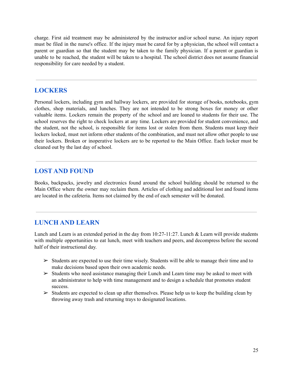charge. First aid treatment may be administered by the instructor and/or school nurse. An injury report must be filed in the nurse's office. If the injury must be cared for by a physician, the school will contact a parent or guardian so that the student may be taken to the family physician. If a parent or guardian is unable to be reached, the student will be taken to a hospital. The school district does not assume financial responsibility for care needed by a student.

#### **LOCKERS**

Personal lockers, including gym and hallway lockers, are provided for storage of books, notebooks, gym clothes, shop materials, and lunches. They are not intended to be strong boxes for money or other valuable items. Lockers remain the property of the school and are loaned to students for their use. The school reserves the right to check lockers at any time. Lockers are provided for student convenience, and the student, not the school, is responsible for items lost or stolen from them. Students must keep their lockers locked, must not inform other students of the combination, and must not allow other people to use their lockers. Broken or inoperative lockers are to be reported to the Main Office. Each locker must be cleaned out by the last day of school.

#### **LOST AND FOUND**

Books, backpacks, jewelry and electronics found around the school building should be returned to the Main Office where the owner may reclaim them. Articles of clothing and additional lost and found items are located in the cafeteria. Items not claimed by the end of each semester will be donated.

#### **LUNCH AND LEARN**

Lunch and Learn is an extended period in the day from 10:27-11:27. Lunch & Learn will provide students with multiple opportunities to eat lunch, meet with teachers and peers, and decompress before the second half of their instructional day.

- $\triangleright$  Students are expected to use their time wisely. Students will be able to manage their time and to make decisions based upon their own academic needs.
- $\triangleright$  Students who need assistance managing their Lunch and Learn time may be asked to meet with an administrator to help with time management and to design a schedule that promotes student success.
- $\triangleright$  Students are expected to clean up after themselves. Please help us to keep the building clean by throwing away trash and returning trays to designated locations.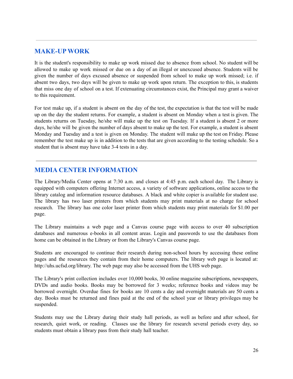## **MAKE-UP WORK**

It is the student's responsibility to make up work missed due to absence from school. No student will be allowed to make up work missed or due on a day of an illegal or unexcused absence. Students will be given the number of days excused absence or suspended from school to make up work missed; i.e. if absent two days, two days will be given to make up work upon return. The exception to this, is students that miss one day of school on a test. If extenuating circumstances exist, the Principal may grant a waiver to this requirement.

For test make up, if a student is absent on the day of the test, the expectation is that the test will be made up on the day the student returns. For example, a student is absent on Monday when a test is given. The students returns on Tuesday, he/she will make up the test on Tuesday. If a student is absent 2 or more days, he/she will be given the number of days absent to make up the test. For example, a student is absent Monday and Tuesday and a test is given on Monday. The student will make up the test on Friday. Please remember the test make up is in addition to the tests that are given according to the testing schedule. So a student that is absent may have take 3-4 tests in a day.

# **MEDIA CENTER INFORMATION**

The Library/Media Center opens at 7:30 a.m. and closes at 4:45 p.m. each school day. The Library is equipped with computers offering Internet access, a variety of software applications, online access to the library catalog and information resource databases. A black and white copier is available for student use. The library has two laser printers from which students may print materials at no charge for school research. The library has one color laser printer from which students may print materials for \$1.00 per page.

The Library maintains a web page and a Canvas course page with access to over 40 subscription databases and numerous e-books in all content areas. Login and passwords to use the databases from home can be obtained in the Library or from the Library's Canvas course page.

Students are encouraged to continue their research during non-school hours by accessing these online pages and the resources they contain from their home computers. The library web page is located at: http://uhs.ucfsd.org/library. The web page may also be accessed from the UHS web page.

The Library's print collection includes over 10,000 books, 30 online magazine subscriptions, newspapers, DVDs and audio books. Books may be borrowed for 3 weeks; reference books and videos may be borrowed overnight. Overdue fines for books are 10 cents a day and overnight materials are 50 cents a day. Books must be returned and fines paid at the end of the school year or library privileges may be suspended.

Students may use the Library during their study hall periods, as well as before and after school, for research, quiet work, or reading. Classes use the library for research several periods every day, so students must obtain a library pass from their study hall teacher.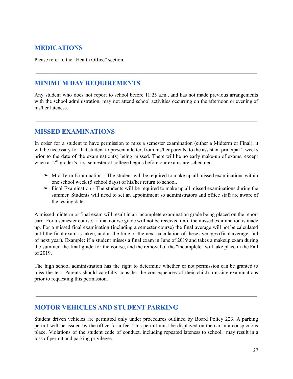# **MEDICATIONS**

Please refer to the "Health Office" section.

## **MINIMUM DAY REQUIREMENTS**

Any student who does not report to school before 11:25 a.m., and has not made previous arrangements with the school administration, may not attend school activities occurring on the afternoon or evening of his/her lateness.

## **MISSED EXAMINATIONS**

In order for a student to have permission to miss a semester examination (either a Midterm or Final), it will be necessary for that student to present a letter, from his/her parents, to the assistant principal 2 weeks prior to the date of the examination(s) being missed. There will be no early make-up of exams, except when a 12<sup>th</sup> grader's first semester of college begins before our exams are scheduled.

- $\triangleright$  Mid-Term Examination The student will be required to make up all missed examinations within one school week (5 school days) of his/her return to school.
- $\triangleright$  Final Examination The students will be required to make up all missed examinations during the summer. Students will need to set an appointment so administrators and office staff are aware of the testing dates.

A missed midterm or final exam will result in an incomplete examination grade being placed on the report card. For a semester course, a final course grade will not be received until the missed examination is made up. For a missed final examination (including a semester course) the final average will not be calculated until the final exam is taken, and at the time of the next calculation of these averages (final average -fall of next year). Example: if a student misses a final exam in June of 2019 and takes a makeup exam during the summer, the final grade for the course, and the removal of the "incomplete" will take place in the Fall of 2019.

The high school administration has the right to determine whether or not permission can be granted to miss the test. Parents should carefully consider the consequences of their child's missing examinations prior to requesting this permission.

# **MOTOR VEHICLES AND STUDENT PARKING**

Student driven vehicles are permitted only under procedures outlined by Board Policy 223. A parking permit will be issued by the office for a fee. This permit must be displayed on the car in a conspicuous place. Violations of the student code of conduct, including repeated lateness to school, may result in a loss of permit and parking privileges.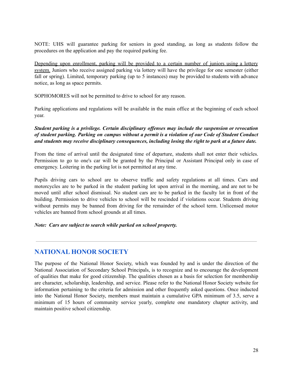NOTE: UHS will guarantee parking for seniors in good standing, as long as students follow the procedures on the application and pay the required parking fee.

Depending upon enrollment, parking will be provided to a certain number of juniors using a lottery system. Juniors who receive assigned parking via lottery will have the privilege for one semester (either fall or spring). Limited, temporary parking (up to 5 instances) may be provided to students with advance notice, as long as space permits.

SOPHOMORES will not be permitted to drive to school for any reason.

Parking applications and regulations will be available in the main office at the beginning of each school year.

*Student parking is a privilege. Certain disciplinary of enses may include the suspension or revocation* of student parking. Parking on campus without a permit is a violation of our Code of Student Conduct *and students may receive disciplinary consequences, including losing the right to park at a future date.*

From the time of arrival until the designated time of departure, students shall not enter their vehicles. Permission to go to one's car will be granted by the Principal or Assistant Principal only in case of emergency. Loitering in the parking lot is not permitted at any time.

Pupils driving cars to school are to observe traffic and safety regulations at all times. Cars and motorcycles are to be parked in the student parking lot upon arrival in the morning, and are not to be moved until after school dismissal. No student cars are to be parked in the faculty lot in front of the building. Permission to drive vehicles to school will be rescinded if violations occur. Students driving without permits may be banned from driving for the remainder of the school term. Unlicensed motor vehicles are banned from school grounds at all times.

*Note: Cars are subject to search while parked on school property.*

## **NATIONAL HONOR SOCIETY**

The purpose of the National Honor Society, which was founded by and is under the direction of the National Association of Secondary School Principals, is to recognize and to encourage the development of qualities that make for good citizenship. The qualities chosen as a basis for selection for membership are character, scholarship, leadership, and service. Please refer to the National Honor Society website for information pertaining to the criteria for admission and other frequently asked questions. Once inducted into the National Honor Society, members must maintain a cumulative GPA minimum of 3.5, serve a minimum of 15 hours of community service yearly, complete one mandatory chapter activity, and maintain positive school citizenship.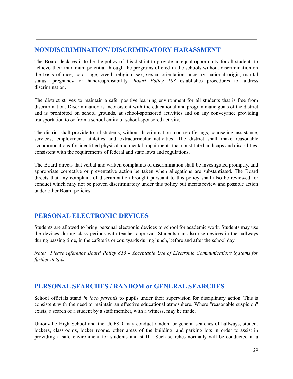# **NONDISCRIMINATION/ DISCRIMINATORY HARASSMENT**

The Board declares it to be the policy of this district to provide an equal opportunity for all students to achieve their maximum potential through the programs offered in the schools without discrimination on the basis of race, color, age, creed, religion, sex, sexual orientation, ancestry, national origin, marital status, pregnancy or handicap/disability. *Board [Policy](http://go.boarddocs.com/pa/uncf/Board.nsf/goto?open&id=BTAH2H458712) 103* establishes procedures to address discrimination.

The district strives to maintain a safe, positive learning environment for all students that is free from discrimination. Discrimination is inconsistent with the educational and programmatic goals of the district and is prohibited on school grounds, at school-sponsored activities and on any conveyance providing transportation to or from a school entity or school-sponsored activity.

The district shall provide to all students, without discrimination, course offerings, counseling, assistance, services, employment, athletics and extracurricular activities. The district shall make reasonable accommodations for identified physical and mental impairments that constitute handicaps and disabilities, consistent with the requirements of federal and state laws and regulations.

The Board directs that verbal and written complaints of discrimination shall be investigated promptly, and appropriate corrective or preventative action be taken when allegations are substantiated. The Board directs that any complaint of discrimination brought pursuant to this policy shall also be reviewed for conduct which may not be proven discriminatory under this policy but merits review and possible action under other Board policies.

# **PERSONAL ELECTRONIC DEVICES**

Students are allowed to bring personal electronic devices to school for academic work. Students may use the devices during class periods with teacher approval. Students can also use devices in the hallways during passing time, in the cafeteria or courtyards during lunch, before and after the school day.

*Note: Please reference Board Policy 815 - Acceptable Use of Electronic Communications Systems for further details.*

# **PERSONAL SEARCHES / RANDOM or GENERAL SEARCHES**

School officials stand *in loco parentis* to pupils under their supervision for disciplinary action. This is consistent with the need to maintain an effective educational atmosphere. Where "reasonable suspicion" exists, a search of a student by a staff member, with a witness, may be made.

Unionville High School and the UCFSD may conduct random or general searches of hallways, student lockers, classrooms, locker rooms, other areas of the building, and parking lots in order to assist in providing a safe environment for students and staff. Such searches normally will be conducted in a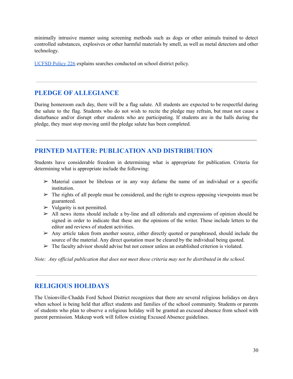minimally intrusive manner using screening methods such as dogs or other animals trained to detect controlled substances, explosives or other harmful materials by smell, as well as metal detectors and other technology.

[UCFSD](https://go.boarddocs.com/pa/uncf/Board.nsf/Public?open&id=policies#) Policy 226 explains searches conducted on school district policy.

# **PLEDGE OF ALLEGIANCE**

During homeroom each day, there will be a flag salute. All students are expected to be respectful during the salute to the flag. Students who do not wish to recite the pledge may refrain, but must not cause a disturbance and/or disrupt other students who are participating. If students are in the halls during the pledge, they must stop moving until the pledge salute has been completed.

# **PRINTED MATTER: PUBLICATION AND DISTRIBUTION**

Students have considerable freedom in determining what is appropriate for publication. Criteria for determining what is appropriate include the following:

- $\triangleright$  Material cannot be libelous or in any way defame the name of an individual or a specific institution.
- $\triangleright$  The rights of all people must be considered, and the right to express opposing viewpoints must be guaranteed.
- $\triangleright$  Vulgarity is not permitted.
- $\triangleright$  All news items should include a by-line and all editorials and expressions of opinion should be signed in order to indicate that these are the opinions of the writer. These include letters to the editor and reviews of student activities.
- $\triangleright$  Any article taken from another source, either directly quoted or paraphrased, should include the source of the material. Any direct quotation must be cleared by the individual being quoted.
- $\triangleright$  The faculty advisor should advise but not censor unless an established criterion is violated.

Note: Any official publication that does not meet these criteria may not be distributed in the school.

# **RELIGIOUS HOLIDAYS**

The Unionville-Chadds Ford School District recognizes that there are several religious holidays on days when school is being held that affect students and families of the school community. Students or parents of students who plan to observe a religious holiday will be granted an excused absence from school with parent permission. Makeup work will follow existing Excused Absence guidelines.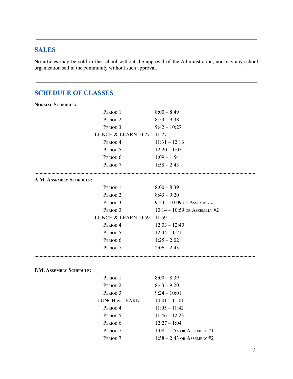# **SALES**

No articles may be sold in the school without the approval of the Administration, nor may any school organization sell in the community without such approval.

# **SCHEDULE OF CLASSES**

| <b>NORMAL SCHEDULE:</b>     |                                |
|-----------------------------|--------------------------------|
| PERIOD <sub>1</sub>         | $8:00 - 8:49$                  |
| PERIOD <sub>2</sub>         | $8:53 - 9:38$                  |
| PERIOD <sub>3</sub>         | $9:42 - 10:27$                 |
| LUNCH & LEARN 10:27 - 11:27 |                                |
| PERIOD <sub>4</sub>         | $11:31 - 12:16$                |
| PERIOD 5                    | $12:20 - 1:05$                 |
| PERIOD <sub>6</sub>         | $1:09 - 1:54$                  |
| PERIOD <sub>7</sub>         | $1:58 - 2:43$                  |
| A.M. ASSEMBLY SCHEDULE:     |                                |
| PERIOD <sub>1</sub>         | $8:00 - 8:39$                  |
| PERIOD <sub>2</sub>         | $8:43 - 9:20$                  |
| PERIOD <sub>3</sub>         | $9:24 - 10:09$ or ASSEMBLY #1  |
| PERIOD <sub>3</sub>         | $10:14 - 10:59$ or ASSEMBLY #2 |
| LUNCH & LEARN 10:59 - 11:59 |                                |
| PERIOD <sub>4</sub>         | $12:03 - 12:40$                |
| PERIOD <sub>5</sub>         | $12:44 - 1:21$                 |
| PERIOD <sub>6</sub>         | $1:25 - 2:02$                  |
| PERIOD <sub>7</sub>         | $2:06 - 2:43$                  |
|                             |                                |
|                             |                                |
| P.M. ASSEMBLY SCHEDULE:     |                                |

| PERIOD 1            | $8:00 - 8:39$                |
|---------------------|------------------------------|
| PERIOD <sub>2</sub> | $8:43 - 9:20$                |
| PERIOD <sub>3</sub> | $9:24 - 10:01$               |
| LUNCH & LEARN       | $10:01 - 11:01$              |
| PERIOD <sub>4</sub> | $11:05 - 11:42$              |
| PERIOD 5            | $11:46 - 12:23$              |
| PERIOD <sub>6</sub> | $12:27 - 1:04$               |
| PERIOD <sub>7</sub> | $1:08 - 1:53$ or Assembly #1 |
| PERIOD <sub>7</sub> | $1:58 - 2:43$ or Assembly #2 |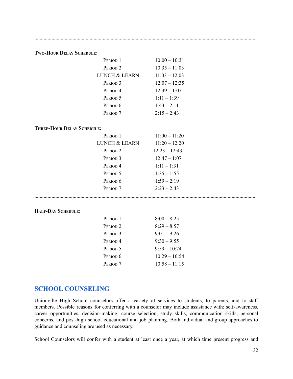**........................................................................................................................................................................**

|                                   | PERIOD <sub>1</sub>      | $10:00 - 10:31$ |  |
|-----------------------------------|--------------------------|-----------------|--|
|                                   | PERIOD <sub>2</sub>      | $10:35 - 11:03$ |  |
|                                   | <b>LUNCH &amp; LEARN</b> | $11:03 - 12:03$ |  |
|                                   | PERIOD <sub>3</sub>      | $12:07 - 12:35$ |  |
|                                   | PERIOD <sub>4</sub>      | $12:39 - 1:07$  |  |
|                                   | PERIOD 5                 | $1:11 - 1:39$   |  |
|                                   | PERIOD <sub>6</sub>      | $1:43 - 2:11$   |  |
|                                   | PERIOD <sub>7</sub>      | $2:15 - 2:43$   |  |
| <b>THREE-HOUR DELAY SCHEDULE:</b> |                          |                 |  |
|                                   | PERIOD <sub>1</sub>      | $11:00 - 11:20$ |  |
|                                   | <b>LUNCH &amp; LEARN</b> | $11:20 - 12:20$ |  |
|                                   | PERIOD <sub>2</sub>      | $12:23 - 12:43$ |  |
|                                   | PERIOD <sub>3</sub>      | $12:47 - 1:07$  |  |
|                                   | PERIOD <sub>4</sub>      | $1:11 - 1:31$   |  |
|                                   | PERIOD 5                 | $1:35 - 1:55$   |  |
|                                   | PERIOD <sub>6</sub>      | $1:59 - 2:19$   |  |
|                                   | PERIOD <sub>7</sub>      | $2:23 - 2:43$   |  |
|                                   |                          |                 |  |
| <b>HALF-DAY SCHEDULE:</b>         |                          |                 |  |
|                                   | PERIOD <sub>1</sub>      | $8:00 - 8:25$   |  |
|                                   | PERIOD <sub>2</sub>      | $8:29 - 8:57$   |  |
|                                   | PERIOD <sub>3</sub>      | $9:01 - 9:26$   |  |
|                                   | PERIOD <sub>4</sub>      | $9:30 - 9:55$   |  |
|                                   | PERIOD <sub>5</sub>      | $9:59 - 10:24$  |  |
|                                   | PERIOD <sub>6</sub>      | $10:29 - 10:54$ |  |
|                                   | PERIOD <sub>7</sub>      | $10:58 - 11:15$ |  |
|                                   |                          |                 |  |

## **SCHOOL COUNSELING**

**TWO-HOUR DELAY SCHEDULE:**

Unionville High School counselors offer a variety of services to students, to parents, and to staff members. Possible reasons for conferring with a counselor may include assistance with: self-awareness, career opportunities, decision-making, course selection, study skills, communication skills, personal concerns, and post-high school educational and job planning. Both individual and group approaches to guidance and counseling are used as necessary.

School Counselors will confer with a student at least once a year, at which time present progress and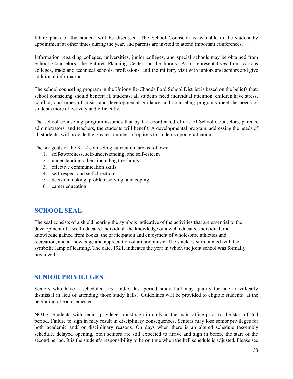future plans of the student will be discussed. The School Counselor is available to the student by appointment at other times during the year, and parents are invited to attend important conferences.

Information regarding colleges, universities, junior colleges, and special schools may be obtained from School Counselors, the Futures Planning Center, or the library. Also, representatives from various colleges, trade and technical schools, professions, and the military visit with juniors and seniors and give additional information.

The school counseling program in the Unionville-Chadds Ford School District is based on the beliefs that: school counseling should benefit all students; all students need individual attention; children have stress, conflict, and times of crisis; and developmental guidance and counseling programs meet the needs of students more effectively and efficiently.

The school counseling program assumes that by the coordinated efforts of School Counselors, parents, administrators, and teachers, the students will benefit. A developmental program, addressing the needs of all students, will provide the greatest number of options to students upon graduation.

The six goals of the K-12 counseling curriculum are as follows:

- 1. self-awareness, self-understanding, and self-esteem
- 2. understanding others including the family
- 3. effective communication skills
- 4. self-respect and self-direction
- 5. decision making, problem solving, and coping
- 6. career education.

## **SCHOOL SEAL**

The seal consists of a shield bearing the symbols indicative of the activities that are essential to the development of a well-educated individual: the knowledge of a well educated individual, the knowledge gained from books, the participation and enjoyment of wholesome athletics and recreation, and a knowledge and appreciation of art and music. The shield is surmounted with the symbolic lamp of learning. The date, 1921, indicates the year in which the joint school was formally organized.

# **SENIOR PRIVILEGES**

Seniors who have a scheduled first and/or last period study hall may qualify for late arrival/early dismissal in lieu of attending those study halls. Guidelines will be provided to eligible students at the beginning of each semester.

NOTE: Students with senior privileges must sign in daily in the main office prior to the start of 2nd period. Failure to sign in may result in disciplinary consequences. Seniors may lose senior privileges for both academic and/ or disciplinary reasons. On days when there is an altered schedule (assembly schedule, delayed opening, etc.) seniors are still expected to arrive and sign in before the start of the second period. It is the student's responsibility to be on time when the bell schedule is adjusted. Please see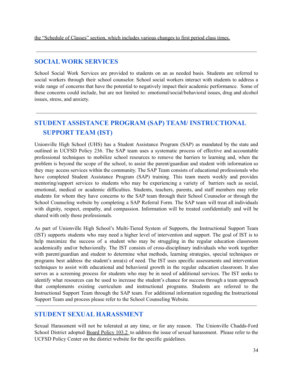the "Schedule of Classes" section, which includes various changes to first period class times.

# **SOCIAL WORK SERVICES**

School Social Work Services are provided to students on an as needed basis. Students are referred to social workers through their school counselor. School social workers interact with students to address a wide range of concerns that have the potential to negatively impact their academic performance. Some of these concerns could include, but are not limited to: emotional/social/behavioral issues, drug and alcohol issues, stress, and anxiety.

# **STUDENT ASSISTANCE PROGRAM (SAP) TEAM/ INSTRUCTIONAL SUPPORT TEAM (IST)**

Unionville High School (UHS) has a Student Assistance Program (SAP) as mandated by the state and outlined in UCFSD Policy 236. The SAP team uses a systematic process of effective and accountable professional techniques to mobilize school resources to remove the barriers to learning and, when the problem is beyond the scope of the school, to assist the parent/guardian and student with information so they may access services within the community. The SAP Team consists of educational professionals who have completed Student Assistance Program (SAP) training. This team meets weekly and provides mentoring/support services to students who may be experiencing a variety of barriers such as social, emotional, medical or academic difficulties. Students, teachers, parents, and staff members may refer students for whom they have concerns to the SAP team through their School Counselor or through the School Counseling website by completing a SAP Referral Form. The SAP team will treat all individuals with dignity, respect, empathy, and compassion. Information will be treated confidentially and will be shared with only those professionals.

As part of Unionville High School's Multi-Tiered System of Supports, the Instructional Support Team (IST) supports students who may need a higher level of intervention and support. The goal of IST is to help maximize the success of a student who may be struggling in the regular education classroom academically and/or behaviorally. The IST consists of cross-disciplinary individuals who work together with parent/guardian and student to determine what methods, learning strategies, special techniques or programs best address the student's area(s) of need. The IST uses specific assessments and intervention techniques to assist with educational and behavioral growth in the regular education classroom. It also serves as a screening process for students who may be in need of additional services. The IST seeks to identify what resources can be used to increase the student's chance for success through a team approach that complements existing curriculum and instructional programs. Students are referred to the Instructional Support Team through the SAP team. For additional information regarding the Instructional Support Team and process please refer to the School Counseling Website.

# **STUDENT SEXUAL HARASSMENT**

Sexual Harassment will not be tolerated at any time, or for any reason. The Unionville Chadds-Ford School District adopted Board [Policy](http://go.boarddocs.com/pa/uncf/Board.nsf/goto?open&id=BT9GRF44ACD7) 103.2 to address the issue of sexual harassment. Please refer to the UCFSD Policy Center on the district website for the specific guidelines.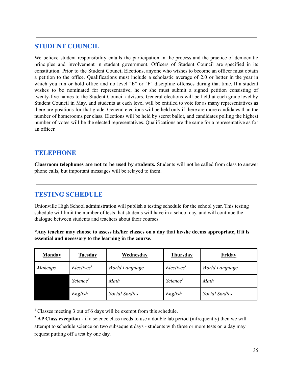## **STUDENT COUNCIL**

We believe student responsibility entails the participation in the process and the practice of democratic principles and involvement in student government. Officers of Student Council are specified in its constitution. Prior to the Student Council Elections, anyone who wishes to become an officer must obtain a petition to the office. Qualifications must include a scholastic average of 2.0 or better in the year in which you run or hold office and no level "E" or "F" discipline offenses during that time. If a student wishes to be nominated for representative, he or she must submit a signed petition consisting of twenty-five names to the Student Council advisors. General elections will be held at each grade level by Student Council in May, and students at each level will be entitled to vote for as many representatives as there are positions for that grade. General elections will be held only if there are more candidates than the number of homerooms per class. Elections will be held by secret ballot, and candidates polling the highest number of votes will be the elected representatives. Qualifications are the same for a representative as for an officer.

## **TELEPHONE**

**Classroom telephones are not to be used by students.** Students will not be called from class to answer phone calls, but important messages will be relayed to them.

# **TESTING SCHEDULE**

Unionville High School administration will publish a testing schedule for the school year. This testing schedule will limit the number of tests that students will have in a school day, and will continue the dialogue between students and teachers about their courses.

**\*Any teacher may choose to assess his/her classes on a day that he/she deems appropriate, if it is essential and necessary to the learning in the course.**

| <b>Monday</b>  | <u>Tuesday</u>         | <b>Wednesday</b>      | <b>Thursday</b>        | <b>Friday</b>         |
|----------------|------------------------|-----------------------|------------------------|-----------------------|
| <b>Makeups</b> | Electives <sup>1</sup> | World Language        | Electives <sup>1</sup> | World Language        |
|                | Science <sup>2</sup>   | Math                  | Science <sup>2</sup>   | Math                  |
|                | English                | <b>Social Studies</b> | English                | <b>Social Studies</b> |

**<sup>1</sup>** Classes meeting 3 out of 6 days will be exempt from this schedule.

**<sup>2</sup> AP Class exception** - if a science class needs to use a double lab period (infrequently) then we will attempt to schedule science on two subsequent days - students with three or more tests on a day may request putting off a test by one day.